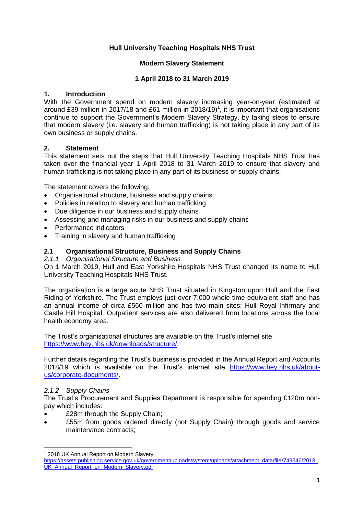# **Hull University Teaching Hospitals NHS Trust**

# **Modern Slavery Statement**

#### **1 April 2018 to 31 March 2019**

#### **1. Introduction**

With the Government spend on modern slavery increasing year-on-year (estimated at around £39 million in 2017/18 and £61 million in 2018/19)<sup>1</sup>, it is important that organisations continue to support the Government's Modern Slavery Strategy, by taking steps to ensure that modern slavery (i.e. slavery and human trafficking) is not taking place in any part of its own business or supply chains.

#### **2. Statement**

This statement sets out the steps that Hull University Teaching Hospitals NHS Trust has taken over the financial year 1 April 2018 to 31 March 2019 to ensure that slavery and human trafficking is not taking place in any part of its business or supply chains.

The statement covers the following:

- Organisational structure, business and supply chains
- Policies in relation to slavery and human trafficking
- Due diligence in our business and supply chains
- Assessing and managing risks in our business and supply chains
- Performance indicators
- Training in slavery and human trafficking

#### **2.1 Organisational Structure, Business and Supply Chains**

#### *2.1.1 Organisational Structure and Business*

On 1 March 2019, Hull and East Yorkshire Hospitals NHS Trust changed its name to Hull University Teaching Hospitals NHS Trust.

The organisation is a large acute NHS Trust situated in Kingston upon Hull and the East Riding of Yorkshire. The Trust employs just over 7,000 whole time equivalent staff and has an annual income of circa £560 million and has two main sites; Hull Royal Infirmary and Castle Hill Hospital. Outpatient services are also delivered from locations across the local health economy area.

The Trust's organisational structures are available on the Trust's internet site [https://www.hey.nhs.uk/downloads/structure/.](https://www.hey.nhs.uk/downloads/structure/)

Further details regarding the Trust's business is provided in the Annual Report and Accounts 2018/19 which is available on the Trust's internet site [https://www.hey.nhs.uk/about](https://www.hey.nhs.uk/about-us/corporate-documents/)[us/corporate-documents/.](https://www.hey.nhs.uk/about-us/corporate-documents/)

# *2.1.2 Supply Chains*

 $\overline{a}$ 

The Trust's Procurement and Supplies Department is responsible for spending £120m nonpay which includes:

- £28m through the Supply Chain;
- £55m from goods ordered directly (not Supply Chain) through goods and service maintenance contracts;

<sup>&</sup>lt;sup>1</sup> 2018 UK Annual Report on Modern Slavery

[https://assets.publishing.service.gov.uk/government/uploads/system/uploads/attachment\\_data/file/749346/2018\\_](https://assets.publishing.service.gov.uk/government/uploads/system/uploads/attachment_data/file/749346/2018_UK_Annual_Report_on_Modern_Slavery.pdf) [UK\\_Annual\\_Report\\_on\\_Modern\\_Slavery.pdf](https://assets.publishing.service.gov.uk/government/uploads/system/uploads/attachment_data/file/749346/2018_UK_Annual_Report_on_Modern_Slavery.pdf)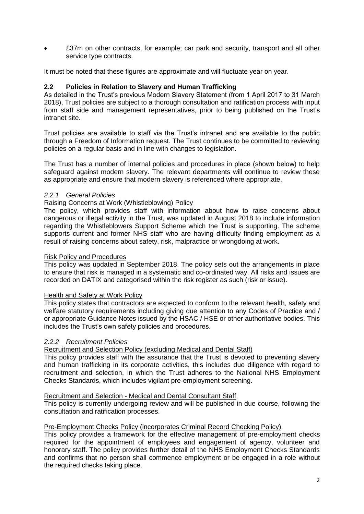£37m on other contracts, for example; car park and security, transport and all other service type contracts.

It must be noted that these figures are approximate and will fluctuate year on year.

# **2.2 Policies in Relation to Slavery and Human Trafficking**

As detailed in the Trust's previous Modern Slavery Statement (from 1 April 2017 to 31 March 2018), Trust policies are subject to a thorough consultation and ratification process with input from staff side and management representatives, prior to being published on the Trust's intranet site.

Trust policies are available to staff via the Trust's intranet and are available to the public through a Freedom of Information request. The Trust continues to be committed to reviewing policies on a regular basis and in line with changes to legislation.

The Trust has a number of internal policies and procedures in place (shown below) to help safeguard against modern slavery. The relevant departments will continue to review these as appropriate and ensure that modern slavery is referenced where appropriate.

# *2.2.1 General Policies*

# Raising Concerns at Work (Whistleblowing) Policy

The policy, which provides staff with information about how to raise concerns about dangerous or illegal activity in the Trust, was updated in August 2018 to include information regarding the Whistleblowers Support Scheme which the Trust is supporting. The scheme supports current and former NHS staff who are having difficulty finding employment as a result of raising concerns about safety, risk, malpractice or wrongdoing at work.

#### Risk Policy and Procedures

This policy was updated in September 2018. The policy sets out the arrangements in place to ensure that risk is managed in a systematic and co-ordinated way. All risks and issues are recorded on DATIX and categorised within the risk register as such (risk or issue).

#### Health and Safety at Work Policy

This policy states that contractors are expected to conform to the relevant health, safety and welfare statutory requirements including giving due attention to any Codes of Practice and / or appropriate Guidance Notes issued by the HSAC / HSE or other authoritative bodies. This includes the Trust's own safety policies and procedures.

#### *2.2.2 Recruitment Policies*

# Recruitment and Selection Policy (excluding Medical and Dental Staff)

This policy provides staff with the assurance that the Trust is devoted to preventing slavery and human trafficking in its corporate activities, this includes due diligence with regard to recruitment and selection, in which the Trust adheres to the National NHS Employment Checks Standards, which includes vigilant pre-employment screening.

#### Recruitment and Selection - Medical and Dental Consultant Staff

This policy is currently undergoing review and will be published in due course, following the consultation and ratification processes.

# Pre-Employment Checks Policy (incorporates Criminal Record Checking Policy)

This policy provides a framework for the effective management of pre-employment checks required for the appointment of employees and engagement of agency, volunteer and honorary staff. The policy provides further detail of the NHS Employment Checks Standards and confirms that no person shall commence employment or be engaged in a role without the required checks taking place.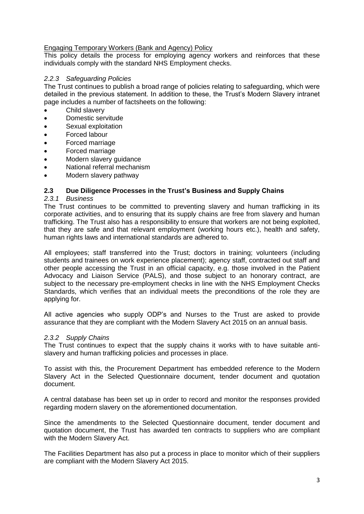#### Engaging Temporary Workers (Bank and Agency) Policy

This policy details the process for employing agency workers and reinforces that these individuals comply with the standard NHS Employment checks.

#### *2.2.3 Safeguarding Policies*

The Trust continues to publish a broad range of policies relating to safeguarding, which were detailed in the previous statement. In addition to these, the Trust's Modern Slavery intranet page includes a number of factsheets on the following:

- Child slavery
- Domestic servitude
- Sexual exploitation
- Forced labour
- Forced marriage
- Forced marriage
- Modern slavery guidance
- National referral mechanism
- Modern slavery pathway

# **2.3 Due Diligence Processes in the Trust's Business and Supply Chains**

#### *2.3.1 Business*

The Trust continues to be committed to preventing slavery and human trafficking in its corporate activities, and to ensuring that its supply chains are free from slavery and human trafficking. The Trust also has a responsibility to ensure that workers are not being exploited, that they are safe and that relevant employment (working hours etc.), health and safety, human rights laws and international standards are adhered to.

All employees; staff transferred into the Trust; doctors in training; volunteers (including students and trainees on work experience placement); agency staff, contracted out staff and other people accessing the Trust in an official capacity, e.g. those involved in the Patient Advocacy and Liaison Service (PALS), and those subject to an honorary contract, are subject to the necessary pre-employment checks in line with the NHS Employment Checks Standards, which verifies that an individual meets the preconditions of the role they are applying for.

All active agencies who supply ODP's and Nurses to the Trust are asked to provide assurance that they are compliant with the Modern Slavery Act 2015 on an annual basis.

# *2.3.2 Supply Chains*

The Trust continues to expect that the supply chains it works with to have suitable antislavery and human trafficking policies and processes in place.

To assist with this, the Procurement Department has embedded reference to the Modern Slavery Act in the Selected Questionnaire document, tender document and quotation document.

A central database has been set up in order to record and monitor the responses provided regarding modern slavery on the aforementioned documentation.

Since the amendments to the Selected Questionnaire document, tender document and quotation document, the Trust has awarded ten contracts to suppliers who are compliant with the Modern Slavery Act.

The Facilities Department has also put a process in place to monitor which of their suppliers are compliant with the Modern Slavery Act 2015.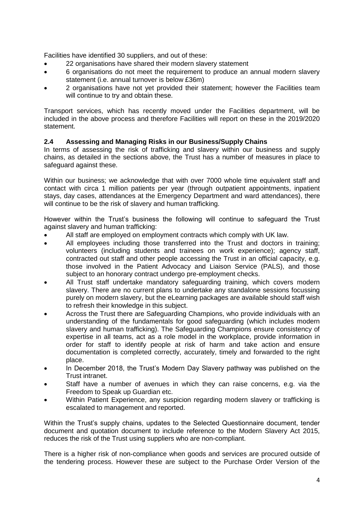Facilities have identified 30 suppliers, and out of these:

- 22 organisations have shared their modern slavery statement
- 6 organisations do not meet the requirement to produce an annual modern slavery statement (i.e. annual turnover is below £36m)
- 2 organisations have not yet provided their statement; however the Facilities team will continue to try and obtain these.

Transport services, which has recently moved under the Facilities department, will be included in the above process and therefore Facilities will report on these in the 2019/2020 statement.

# **2.4 Assessing and Managing Risks in our Business/Supply Chains**

In terms of assessing the risk of trafficking and slavery within our business and supply chains, as detailed in the sections above, the Trust has a number of measures in place to safeguard against these.

Within our business; we acknowledge that with over 7000 whole time equivalent staff and contact with circa 1 million patients per year (through outpatient appointments, inpatient stays, day cases, attendances at the Emergency Department and ward attendances), there will continue to be the risk of slavery and human trafficking.

However within the Trust's business the following will continue to safeguard the Trust against slavery and human trafficking:

- All staff are employed on employment contracts which comply with UK law.
- All employees including those transferred into the Trust and doctors in training; volunteers (including students and trainees on work experience); agency staff, contracted out staff and other people accessing the Trust in an official capacity, e.g. those involved in the Patient Advocacy and Liaison Service (PALS), and those subject to an honorary contract undergo pre-employment checks.
- All Trust staff undertake mandatory safeguarding training, which covers modern slavery. There are no current plans to undertake any standalone sessions focussing purely on modern slavery, but the eLearning packages are available should staff wish to refresh their knowledge in this subject.
- Across the Trust there are Safeguarding Champions, who provide individuals with an understanding of the fundamentals for good safeguarding (which includes modern slavery and human trafficking). The Safeguarding Champions ensure consistency of expertise in all teams, act as a role model in the workplace, provide information in order for staff to identify people at risk of harm and take action and ensure documentation is completed correctly, accurately, timely and forwarded to the right place.
- In December 2018, the Trust's Modern Day Slavery pathway was published on the Trust intranet.
- Staff have a number of avenues in which they can raise concerns, e.g. via the Freedom to Speak up Guardian etc.
- Within Patient Experience, any suspicion regarding modern slavery or trafficking is escalated to management and reported.

Within the Trust's supply chains, updates to the Selected Questionnaire document, tender document and quotation document to include reference to the Modern Slavery Act 2015, reduces the risk of the Trust using suppliers who are non-compliant.

There is a higher risk of non-compliance when goods and services are procured outside of the tendering process. However these are subject to the Purchase Order Version of the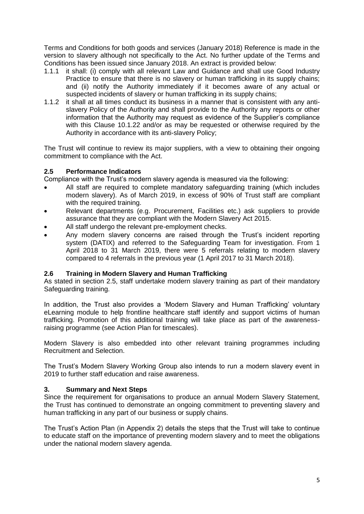Terms and Conditions for both goods and services (January 2018) Reference is made in the version to slavery although not specifically to the Act. No further update of the Terms and Conditions has been issued since January 2018. An extract is provided below:

- 1.1.1 it shall: (i) comply with all relevant Law and Guidance and shall use Good Industry Practice to ensure that there is no slavery or human trafficking in its supply chains; and (ii) notify the Authority immediately if it becomes aware of any actual or suspected incidents of slavery or human trafficking in its supply chains;
- 1.1.2 it shall at all times conduct its business in a manner that is consistent with any antislavery Policy of the Authority and shall provide to the Authority any reports or other information that the Authority may request as evidence of the Supplier's compliance with this Clause 10.1.22 and/or as may be requested or otherwise required by the Authority in accordance with its anti-slavery Policy;

The Trust will continue to review its major suppliers, with a view to obtaining their ongoing commitment to compliance with the Act.

# **2.5 Performance Indicators**

Compliance with the Trust's modern slavery agenda is measured via the following:

- All staff are required to complete mandatory safeguarding training (which includes modern slavery). As of March 2019, in excess of 90% of Trust staff are compliant with the required training.
- Relevant departments (e.g. Procurement, Facilities etc.) ask suppliers to provide assurance that they are compliant with the Modern Slavery Act 2015.
- All staff undergo the relevant pre-employment checks.
- Any modern slavery concerns are raised through the Trust's incident reporting system (DATIX) and referred to the Safeguarding Team for investigation. From 1 April 2018 to 31 March 2019, there were 5 referrals relating to modern slavery compared to 4 referrals in the previous year (1 April 2017 to 31 March 2018).

# **2.6 Training in Modern Slavery and Human Trafficking**

As stated in section 2.5, staff undertake modern slavery training as part of their mandatory Safeguarding training.

In addition, the Trust also provides a 'Modern Slavery and Human Trafficking' voluntary eLearning module to help frontline healthcare staff identify and support victims of human trafficking. Promotion of this additional training will take place as part of the awarenessraising programme (see Action Plan for timescales).

Modern Slavery is also embedded into other relevant training programmes including Recruitment and Selection.

The Trust's Modern Slavery Working Group also intends to run a modern slavery event in 2019 to further staff education and raise awareness.

# **3. Summary and Next Steps**

Since the requirement for organisations to produce an annual Modern Slavery Statement, the Trust has continued to demonstrate an ongoing commitment to preventing slavery and human trafficking in any part of our business or supply chains.

The Trust's Action Plan (in Appendix 2) details the steps that the Trust will take to continue to educate staff on the importance of preventing modern slavery and to meet the obligations under the national modern slavery agenda.